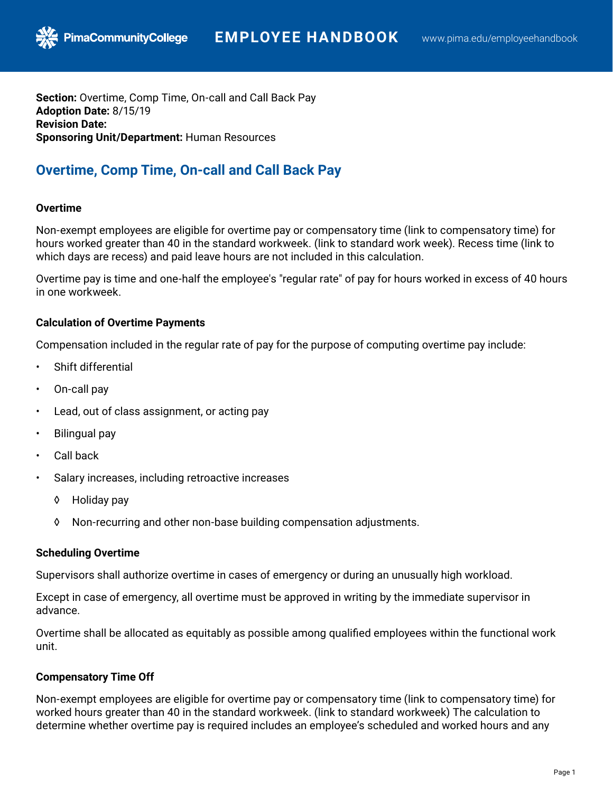**Section:** Overtime, Comp Time, On-call and Call Back Pay **Adoption Date:** 8/15/19 **Revision Date: Sponsoring Unit/Department:** Human Resources

# **Overtime, Comp Time, On-call and Call Back Pay**

# **Overtime**

Non-exempt employees are eligible for overtime pay or compensatory time (link to compensatory time) for hours worked greater than 40 in the standard workweek. (link to standard work week). Recess time (link to which days are recess) and paid leave hours are not included in this calculation.

Overtime pay is time and one-half the employee's "regular rate" of pay for hours worked in excess of 40 hours in one workweek.

# **Calculation of Overtime Payments**

Compensation included in the regular rate of pay for the purpose of computing overtime pay include:

- Shift differential
- On-call pay
- Lead, out of class assignment, or acting pay
- Bilingual pay
- Call back
- Salary increases, including retroactive increases
	- ◊ Holiday pay
	- ◊ Non-recurring and other non-base building compensation adjustments.

### **Scheduling Overtime**

Supervisors shall authorize overtime in cases of emergency or during an unusually high workload.

Except in case of emergency, all overtime must be approved in writing by the immediate supervisor in advance.

Overtime shall be allocated as equitably as possible among qualified employees within the functional work unit.

### **Compensatory Time Off**

Non-exempt employees are eligible for overtime pay or compensatory time (link to compensatory time) for worked hours greater than 40 in the standard workweek. (link to standard workweek) The calculation to determine whether overtime pay is required includes an employee's scheduled and worked hours and any